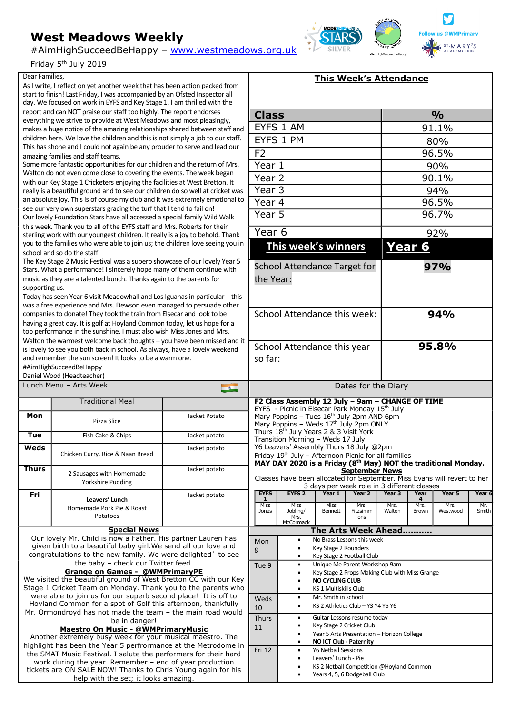## **West Meadows Weekly**

#AimHighSucceedBeHappy – www.westmeadows.org.uk

Friday 5th July 2019

## Dear Families,

As I write, I reflect on yet another week that has been action packed from start to finish! Last Friday, I was accompanied by an Ofsted Inspector all day. We focused on work in EYFS and Key Stage 1. I am thrilled with the report and can NOT praise our staff too highly. The report endorses everything we strive to provide at West Meadows and most pleasingly, makes a huge notice of the amazing relationships shared between staff and children here. We love the children and this is not simply a job to our staff. This has shone and I could not again be any prouder to serve and lead our amazing families and staff teams.

Some more fantastic opportunities for our children and the return of Mrs. Walton do not even come close to covering the events. The week began with our Key Stage 1 Cricketers enjoying the facilities at West Bretton. It really is a beautiful ground and to see our children do so well at cricket was an absolute joy. This is of course my club and it was extremely emotional to see our very own superstars gracing the turf that I tend to fail on! Our lovely Foundation Stars have all accessed a special family Wild Walk this week. Thank you to all of the EYFS staff and Mrs. Roberts for their sterling work with our youngest children. It really is a joy to behold. Thank you to the families who were able to join us; the children love seeing you in school and so do the staff.

The Key Stage 2 Music Festival was a superb showcase of our lovely Year 5 Stars. What a performance! I sincerely hope many of them continue with music as they are a talented bunch. Thanks again to the parents for supporting us.

Today has seen Year 6 visit Meadowhall and Los Iguanas in particular – this was a free experience and Mrs. Dewson even managed to persuade other companies to donate! They took the train from Elsecar and look to be having a great day. It is golf at Hoyland Common today, let us hope for a top performance in the sunshine. I must also wish Miss Jones and Mrs. Walton the warmest welcome back thoughts  $-$  you have been missed and is lovely to see you both back in school. As always, have a lovely weekend and remember the sun screen! It looks to be a warm one.

#AimHighSucceedBeHappy

Daniel Wood (Headteacher) Lunch Menu - Arts Week **Traditional Meal Mon** Pizza Slice Jacket Potato **Tue Fish Cake & Chips Jacket potato Weds** Chicken Curry, Rice & Naan Bread Jacket potato **Thurs** 2 Sausages with Homemade Yorkshire Pudding Jacket potato **Fri Leavers' Lunch** Homemade Pork Pie & Roast Potatoes Jacket potato

**Special News** Our lovely Mr. Child is now a Father. His partner Lauren has given birth to a beautiful baby girl.We send all our love and congratulations to the new family. We were delighted` to see the baby – check our Twitter feed.

**Grange on Games - @WMPrimaryPE**

We visited the beautiful ground of West Bretton CC with our Key Stage 1 Cricket Team on Monday. Thank you to the parents who were able to join us for our superb second place! It is off to Hoyland Common for a spot of Golf this afternoon, thankfully Mr. Ormondroyd has not made the team – the main road would be in danger!

## **Maestro On Music - @WMPrimaryMusic**

Another extremely busy week for your musical maestro. The highlight has been the Year 5 perfrormance at the Metrodome in the SMAT Music Festival. I salute the performers for their hard work during the year. Remember – end of year production tickets are ON SALE NOW! Thanks to Chris Young again for his help with the set; it looks amazing.

|                             |                                                                                                         | <b>This Week's Attendance</b>               |                       |                   |           |                                                                          |        |  |
|-----------------------------|---------------------------------------------------------------------------------------------------------|---------------------------------------------|-----------------------|-------------------|-----------|--------------------------------------------------------------------------|--------|--|
|                             |                                                                                                         |                                             |                       |                   |           |                                                                          |        |  |
| <b>Class</b>                |                                                                                                         |                                             |                       | $\frac{0}{0}$     |           |                                                                          |        |  |
|                             | EYFS 1 AM                                                                                               |                                             |                       |                   | 91.1%     |                                                                          |        |  |
|                             | EYFS 1 PM                                                                                               |                                             |                       | 80%               |           |                                                                          |        |  |
| F <sub>2</sub>              |                                                                                                         |                                             |                       | 96.5%             |           |                                                                          |        |  |
| Year 1                      |                                                                                                         |                                             |                       | 90%               |           |                                                                          |        |  |
| Year 2                      |                                                                                                         |                                             |                       | 90.1%             |           |                                                                          |        |  |
| Year $3$                    |                                                                                                         |                                             |                       | 94%               |           |                                                                          |        |  |
| Year 4                      |                                                                                                         |                                             |                       | 96.5%             |           |                                                                          |        |  |
| Year 5                      |                                                                                                         |                                             |                       | 96.7%             |           |                                                                          |        |  |
|                             |                                                                                                         |                                             |                       |                   |           |                                                                          |        |  |
| Year <sub>6</sub>           |                                                                                                         |                                             |                       |                   |           | 92%                                                                      |        |  |
|                             | This week's winners                                                                                     |                                             | <b>Year 6</b>         |                   |           |                                                                          |        |  |
|                             | School Attendance Target for                                                                            |                                             | 97%                   |                   |           |                                                                          |        |  |
| the Year:                   |                                                                                                         |                                             |                       |                   |           |                                                                          |        |  |
|                             |                                                                                                         |                                             |                       |                   |           |                                                                          |        |  |
|                             |                                                                                                         |                                             |                       |                   |           |                                                                          |        |  |
|                             | School Attendance this week:                                                                            |                                             |                       | 94%               |           |                                                                          |        |  |
|                             |                                                                                                         |                                             |                       |                   |           |                                                                          |        |  |
|                             |                                                                                                         |                                             |                       |                   |           |                                                                          |        |  |
| School Attendance this year |                                                                                                         | 95.8%                                       |                       |                   |           |                                                                          |        |  |
| so far:                     |                                                                                                         |                                             |                       |                   |           |                                                                          |        |  |
|                             |                                                                                                         |                                             |                       |                   |           |                                                                          |        |  |
|                             |                                                                                                         |                                             | Dates for the Diary   |                   |           |                                                                          |        |  |
|                             | F2 Class Assembly 12 July - 9am - CHANGE OF TIME                                                        |                                             |                       |                   |           |                                                                          |        |  |
|                             | EYFS - Picnic in Elsecar Park Monday 15th July<br>Mary Poppins - Tues 16 <sup>th</sup> July 2pm AND 6pm |                                             |                       |                   |           |                                                                          |        |  |
|                             | Mary Poppins - Weds 17th July 2pm ONLY                                                                  |                                             |                       |                   |           |                                                                          |        |  |
|                             | Thurs 18th July Years 2 & 3 Visit York<br>Transition Morning - Weds 17 July                             |                                             |                       |                   |           |                                                                          |        |  |
|                             | Y6 Leavers' Assembly Thurs 18 July @2pm                                                                 |                                             |                       |                   |           |                                                                          |        |  |
|                             | Friday 19th July - Afternoon Picnic for all families                                                    |                                             |                       |                   |           | MAY DAY 2020 is a Friday ( $8th$ May) NOT the traditional Monday.        |        |  |
|                             |                                                                                                         |                                             | <b>September News</b> |                   |           |                                                                          |        |  |
|                             |                                                                                                         | 3 days per week role in 3 different classes |                       |                   |           | Classes have been allocated for September. Miss Evans will revert to her |        |  |
| <b>EYFS</b>                 | <b>EYFS 2</b>                                                                                           | Year 1                                      | Year 2                | Year <sub>3</sub> | Year      | Year 5                                                                   | Year 6 |  |
| 1<br><b>Miss</b>            | <b>Miss</b>                                                                                             | <b>Miss</b>                                 | Mrs.                  | Mrs.              | 4<br>Mrs. | Mrs.                                                                     | Mr.    |  |
| Jones                       | Jobling/<br>Mrs.<br>McCormack                                                                           | Bennett                                     | Fitzsimm<br>ons       | Walton            | Brown     | Westwood                                                                 | Smith  |  |
|                             |                                                                                                         | The Arts Week Ahead                         |                       |                   |           |                                                                          |        |  |
| Mon                         | ٠                                                                                                       | No Brass Lessons this week                  |                       |                   |           |                                                                          |        |  |
| 8                           | Key Stage 2 Rounders<br>$\bullet$<br>Key Stage 2 Football Club                                          |                                             |                       |                   |           |                                                                          |        |  |
| Tue 9                       |                                                                                                         | Unique Me Parent Workshop 9am               |                       |                   |           |                                                                          |        |  |
|                             | Key Stage 2 Props Making Club with Miss Grange<br><b>NO CYCLING CLUB</b>                                |                                             |                       |                   |           |                                                                          |        |  |
|                             |                                                                                                         | KS 1 Multiskills Club                       |                       |                   |           |                                                                          |        |  |
| Weds                        | Mr. Smith in school                                                                                     |                                             |                       |                   |           |                                                                          |        |  |
| 10                          | KS 2 Athletics Club - Y3 Y4 Y5 Y6                                                                       |                                             |                       |                   |           |                                                                          |        |  |
| <b>Thurs</b>                |                                                                                                         | Guitar Lessons resume today                 |                       |                   |           |                                                                          |        |  |
| 11                          | Key Stage 2 Cricket Club<br>Year 5 Arts Presentation - Horizon College                                  |                                             |                       |                   |           |                                                                          |        |  |
|                             |                                                                                                         | <b>NO ICT Club - Paternity</b>              |                       |                   |           |                                                                          |        |  |
| Fri 12                      |                                                                                                         | Y6 Netball Sessions<br>Leavers' Lunch - Pie |                       |                   |           |                                                                          |        |  |
|                             |                                                                                                         | KS 2 Netball Competition @Hoyland Common    |                       |                   |           |                                                                          |        |  |

Years 4, 5, 6 Dodgeball Club